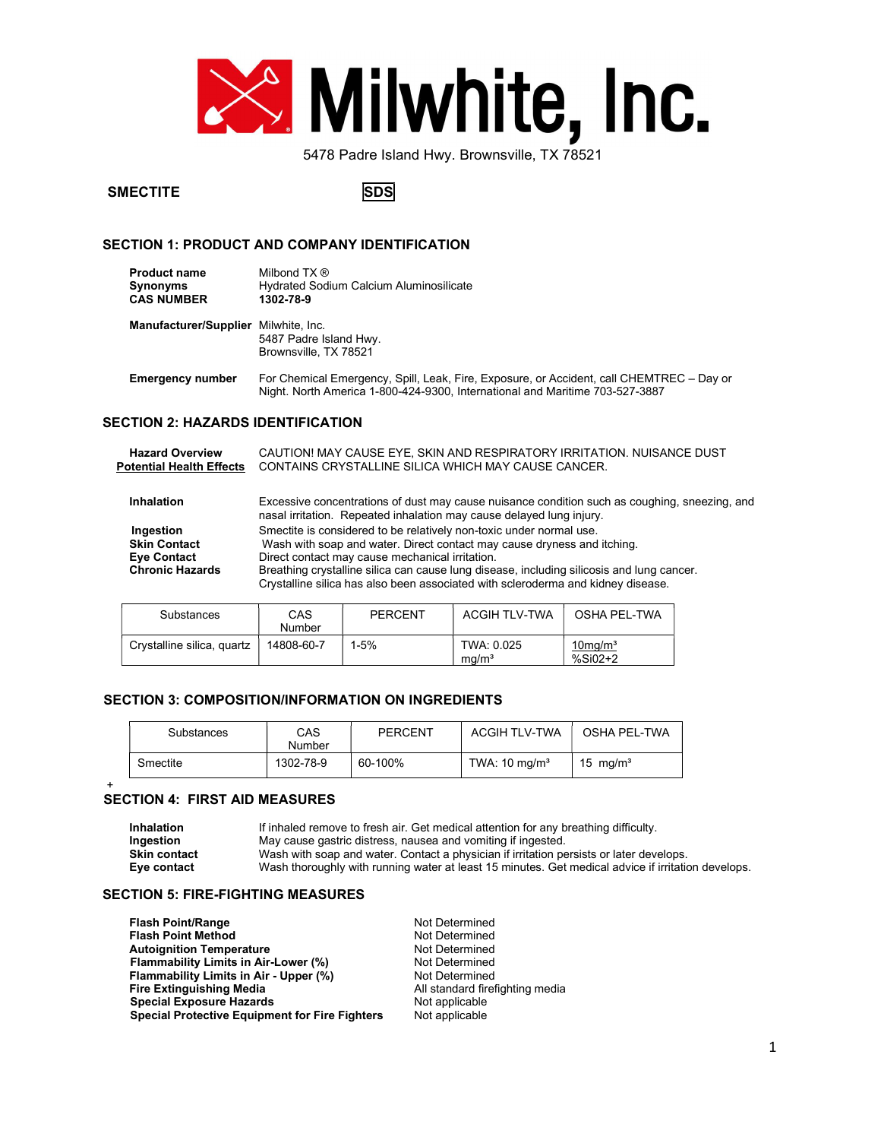

# SMECTITE SOLUTION SOLUTION

# SECTION 1: PRODUCT AND COMPANY IDENTIFICATION

| <b>Product name</b>                                                                                                            | Milbond TX ®                            |
|--------------------------------------------------------------------------------------------------------------------------------|-----------------------------------------|
| <b>Synonyms</b>                                                                                                                | Hydrated Sodium Calcium Aluminosilicate |
| <b>CAS NUMBER</b>                                                                                                              | 1302-78-9                               |
| $\mathbf{r}$ , and $\mathbf{r}$ , and $\mathbf{r}$ , and $\mathbf{r}$ , and $\mathbf{r}$ , and $\mathbf{r}$ , and $\mathbf{r}$ |                                         |

Manufacturer/Supplier Milwhite, Inc. 5487 Padre Island Hwy. Brownsville, TX 78521

Emergency number For Chemical Emergency, Spill, Leak, Fire, Exposure, or Accident, call CHEMTREC - Day or Night. North America 1-800-424-9300, International and Maritime 703-527-3887

# SECTION 2: HAZARDS IDENTIFICATION

| <b>Hazard Overview</b><br><b>Potential Health Effects</b>                        |     |                                                 | CAUTION! MAY CAUSE EYE, SKIN AND RESPIRATORY IRRITATION. NUISANCE DUST<br>CONTAINS CRYSTALLINE SILICA WHICH MAY CAUSE CANCER.                                                                                                                                                                                                   |              |  |
|----------------------------------------------------------------------------------|-----|-------------------------------------------------|---------------------------------------------------------------------------------------------------------------------------------------------------------------------------------------------------------------------------------------------------------------------------------------------------------------------------------|--------------|--|
| <b>Inhalation</b>                                                                |     |                                                 | Excessive concentrations of dust may cause nuisance condition such as coughing, sneezing, and<br>nasal irritation. Repeated inhalation may cause delayed lung injury.                                                                                                                                                           |              |  |
| Ingestion<br><b>Skin Contact</b><br><b>Eye Contact</b><br><b>Chronic Hazards</b> |     | Direct contact may cause mechanical irritation. | Smectite is considered to be relatively non-toxic under normal use.<br>Wash with soap and water. Direct contact may cause dryness and itching.<br>Breathing crystalline silica can cause lung disease, including silicosis and lung cancer.<br>Crystalline silica has also been associated with scleroderma and kidney disease. |              |  |
| Substances                                                                       | CAS | PERCENT                                         | <b>ACGIH TLV-TWA</b>                                                                                                                                                                                                                                                                                                            | OSHA PEL-TWA |  |

| Substances                 | CAS<br>Number | <b>PERCENT</b> | <b>ACGIH TLV-TWA</b>            | OSHA PEL-TWA                        |
|----------------------------|---------------|----------------|---------------------------------|-------------------------------------|
| Crystalline silica, quartz | 14808-60-7    | 1-5%           | TWA: 0.025<br>ma/m <sup>3</sup> | $10$ mg/m <sup>3</sup><br>$%SiO2+2$ |

# SECTION 3: COMPOSITION/INFORMATION ON INGREDIENTS

| Substances | CAS<br>Number | <b>PERCENT</b> | <b>ACGIH TLV-TWA</b>     | OSHA PEL-TWA         |
|------------|---------------|----------------|--------------------------|----------------------|
| Smectite   | 1302-78-9     | 60-100%        | TWA: $10 \text{ mg/m}^3$ | 15 mg/m <sup>3</sup> |

#### + SECTION 4: FIRST AID MEASURES

Inhalation If inhaled remove to fresh air. Get medical attention for any breathing difficulty.<br>Ingestion May cause gastric distress, nausea and vomiting if ingested. May cause gastric distress, nausea and vomiting if ingested. Skin contact Wash with soap and water. Contact a physician if irritation persists or later develops. Eye contact Wash thoroughly with running water at least 15 minutes. Get medical advice if irritation develops.

### SECTION 5: FIRE-FIGHTING MEASURES

Flash Point/Range<br>
Flash Point Method<br>
Not Determined **Flash Point Method** Autoignition Temperature<br>
Flammability Limits in Air-Lower (%) Not Determined Flammability Limits in Air-Lower (%) Flammability Limits in Air - Upper (%) Not Determined<br>
Fire Extinguishing Media<br>
Net and article and article and article right Special Exposure Hazards<br>
Special Protective Equipment for Fire Fighters Mot applicable Special Protective Equipment for Fire Fighters

All standard firefighting media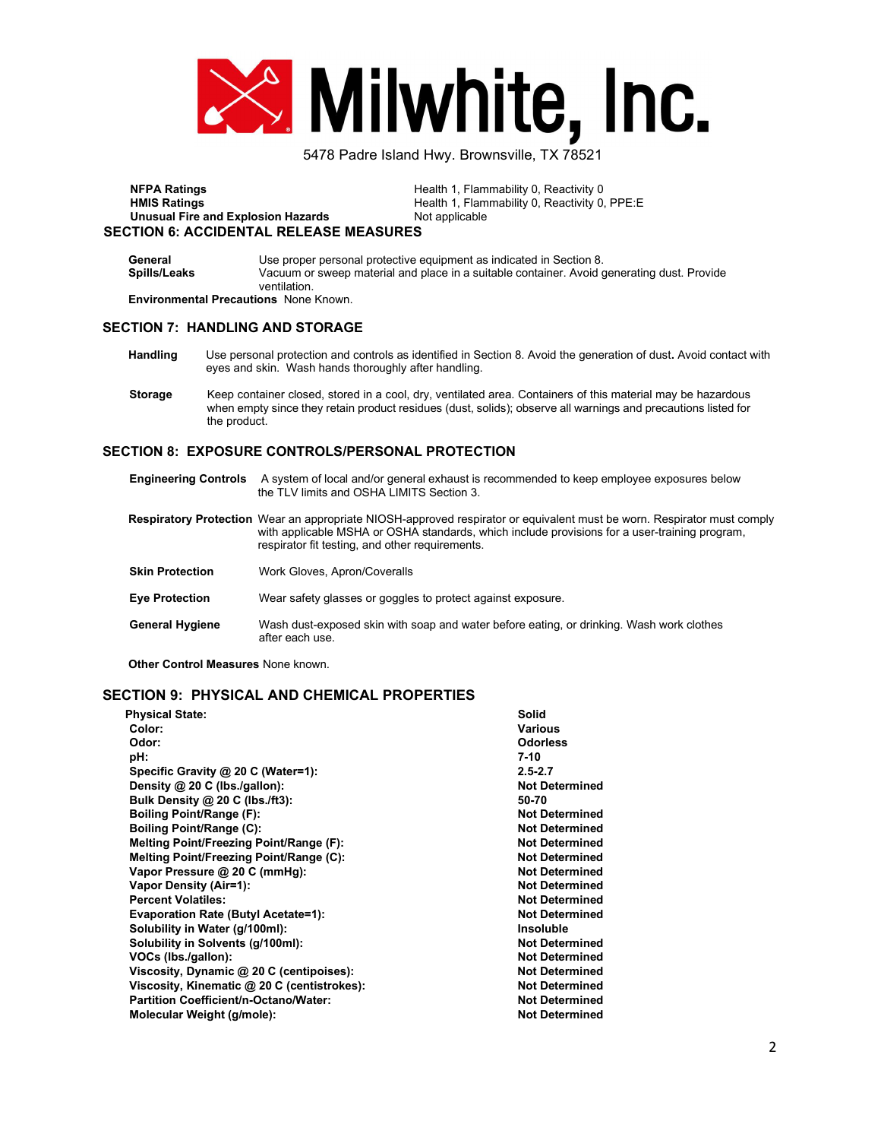

NFPA Ratings **NFPA Ratings Health 1, Flammability 0, Reactivity 0** HMIS Ratings **Health 1, Flammability 0, Reactivity 0, PPE:E** Unusual Fire and Explosion Hazards Not applicable SECTION 6: ACCIDENTAL RELEASE MEASURES

| General                                      | Use proper personal protective equipment as indicated in Section 8.                        |
|----------------------------------------------|--------------------------------------------------------------------------------------------|
| Spills/Leaks                                 | Vacuum or sweep material and place in a suitable container. Avoid generating dust. Provide |
|                                              | ventilation                                                                                |
| <b>Environmental Precautions</b> None Known. |                                                                                            |

#### SECTION 7: HANDLING AND STORAGE

- Handling Use personal protection and controls as identified in Section 8. Avoid the generation of dust. Avoid contact with eyes and skin. Wash hands thoroughly after handling.
- Storage Keep container closed, stored in a cool, dry, ventilated area. Containers of this material may be hazardous when empty since they retain product residues (dust, solids); observe all warnings and precautions listed for the product.

### SECTION 8: EXPOSURE CONTROLS/PERSONAL PROTECTION

| <b>Engineering Controls</b> | A system of local and/or general exhaust is recommended to keep employee exposures below<br>the TLV limits and OSHA LIMITS Section 3.                                                                                                                                       |
|-----------------------------|-----------------------------------------------------------------------------------------------------------------------------------------------------------------------------------------------------------------------------------------------------------------------------|
|                             | Respiratory Protection Wear an appropriate NIOSH-approved respirator or equivalent must be worn. Respirator must comply<br>with applicable MSHA or OSHA standards, which include provisions for a user-training program,<br>respirator fit testing, and other requirements. |
| <b>Skin Protection</b>      | Work Gloves, Apron/Coveralls                                                                                                                                                                                                                                                |
| <b>Eye Protection</b>       | Wear safety glasses or goggles to protect against exposure.                                                                                                                                                                                                                 |
| <b>General Hygiene</b>      | Wash dust-exposed skin with soap and water before eating, or drinking. Wash work clothes<br>after each use.                                                                                                                                                                 |

Other Control Measures None known.

# SECTION 9: PHYSICAL AND CHEMICAL PROPERTIES

| <b>Physical State:</b>                      | Solid                 |
|---------------------------------------------|-----------------------|
| Color:                                      | <b>Various</b>        |
| Odor:                                       | <b>Odorless</b>       |
| pH:                                         | $7-10$                |
| Specific Gravity @ 20 C (Water=1):          | $2.5 - 2.7$           |
| Density @ 20 C (lbs./gallon):               | <b>Not Determined</b> |
| Bulk Density @ 20 C (lbs./ft3):             | 50-70                 |
| <b>Boiling Point/Range (F):</b>             | <b>Not Determined</b> |
| <b>Boiling Point/Range (C):</b>             | <b>Not Determined</b> |
| Melting Point/Freezing Point/Range (F):     | <b>Not Determined</b> |
| Melting Point/Freezing Point/Range (C):     | <b>Not Determined</b> |
| Vapor Pressure @ 20 C (mmHg):               | <b>Not Determined</b> |
| <b>Vapor Density (Air=1):</b>               | <b>Not Determined</b> |
| <b>Percent Volatiles:</b>                   | <b>Not Determined</b> |
| <b>Evaporation Rate (Butyl Acetate=1):</b>  | <b>Not Determined</b> |
| Solubility in Water (g/100ml):              | <b>Insoluble</b>      |
| Solubility in Solvents (g/100ml):           | <b>Not Determined</b> |
| VOCs (lbs./gallon):                         | <b>Not Determined</b> |
| Viscosity, Dynamic @ 20 C (centipoises):    | <b>Not Determined</b> |
| Viscosity, Kinematic @ 20 C (centistrokes): | <b>Not Determined</b> |
| Partition Coefficient/n-Octano/Water:       | <b>Not Determined</b> |
| Molecular Weight (g/mole):                  | <b>Not Determined</b> |
|                                             |                       |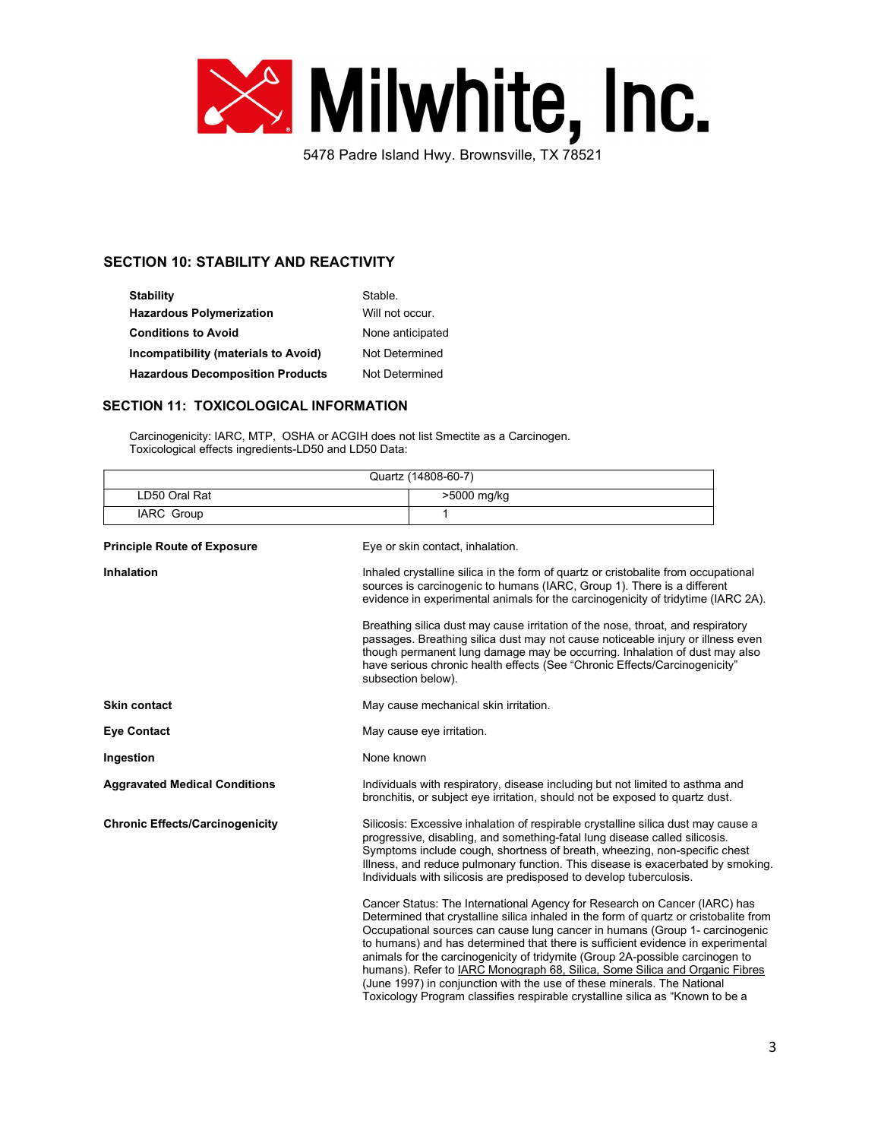

# SECTION 10: STABILITY AND REACTIVITY

| <b>Stability</b>                        | Stable.          |
|-----------------------------------------|------------------|
| <b>Hazardous Polymerization</b>         | Will not occur.  |
| <b>Conditions to Avoid</b>              | None anticipated |
| Incompatibility (materials to Avoid)    | Not Determined   |
| <b>Hazardous Decomposition Products</b> | Not Determined   |

### SECTION 11: TOXICOLOGICAL INFORMATION

 $\mathsf{r}$ 

Carcinogenicity: IARC, MTP, OSHA or ACGIH does not list Smectite as a Carcinogen. Toxicological effects ingredients-LD50 and LD50 Data:

|                                        | Quartz (14808-60-7)                                                                                                                                                                                                                                                                                                                                                                                                                                                                                                                                                                                                                                              |
|----------------------------------------|------------------------------------------------------------------------------------------------------------------------------------------------------------------------------------------------------------------------------------------------------------------------------------------------------------------------------------------------------------------------------------------------------------------------------------------------------------------------------------------------------------------------------------------------------------------------------------------------------------------------------------------------------------------|
| LD50 Oral Rat                          | >5000 mg/kg                                                                                                                                                                                                                                                                                                                                                                                                                                                                                                                                                                                                                                                      |
| <b>IARC Group</b>                      | 1                                                                                                                                                                                                                                                                                                                                                                                                                                                                                                                                                                                                                                                                |
| <b>Principle Route of Exposure</b>     | Eye or skin contact, inhalation.                                                                                                                                                                                                                                                                                                                                                                                                                                                                                                                                                                                                                                 |
| Inhalation                             | Inhaled crystalline silica in the form of quartz or cristobalite from occupational<br>sources is carcinogenic to humans (IARC, Group 1). There is a different<br>evidence in experimental animals for the carcinogenicity of tridytime (IARC 2A).<br>Breathing silica dust may cause irritation of the nose, throat, and respiratory<br>passages. Breathing silica dust may not cause noticeable injury or illness even<br>though permanent lung damage may be occurring. Inhalation of dust may also<br>have serious chronic health effects (See "Chronic Effects/Carcinogenicity"<br>subsection below).                                                        |
| Skin contact                           | May cause mechanical skin irritation.                                                                                                                                                                                                                                                                                                                                                                                                                                                                                                                                                                                                                            |
| <b>Eye Contact</b>                     | May cause eye irritation.                                                                                                                                                                                                                                                                                                                                                                                                                                                                                                                                                                                                                                        |
| Ingestion                              | None known                                                                                                                                                                                                                                                                                                                                                                                                                                                                                                                                                                                                                                                       |
| <b>Aggravated Medical Conditions</b>   | Individuals with respiratory, disease including but not limited to asthma and<br>bronchitis, or subject eye irritation, should not be exposed to quartz dust.                                                                                                                                                                                                                                                                                                                                                                                                                                                                                                    |
| <b>Chronic Effects/Carcinogenicity</b> | Silicosis: Excessive inhalation of respirable crystalline silica dust may cause a<br>progressive, disabling, and something-fatal lung disease called silicosis.<br>Symptoms include cough, shortness of breath, wheezing, non-specific chest<br>Illness, and reduce pulmonary function. This disease is exacerbated by smoking.<br>Individuals with silicosis are predisposed to develop tuberculosis.                                                                                                                                                                                                                                                           |
|                                        | Cancer Status: The International Agency for Research on Cancer (IARC) has<br>Determined that crystalline silica inhaled in the form of quartz or cristobalite from<br>Occupational sources can cause lung cancer in humans (Group 1- carcinogenic<br>to humans) and has determined that there is sufficient evidence in experimental<br>animals for the carcinogenicity of tridymite (Group 2A-possible carcinogen to<br>humans). Refer to IARC Monograph 68, Silica, Some Silica and Organic Fibres<br>(June 1997) in conjunction with the use of these minerals. The National<br>Toxicology Program classifies respirable crystalline silica as "Known to be a |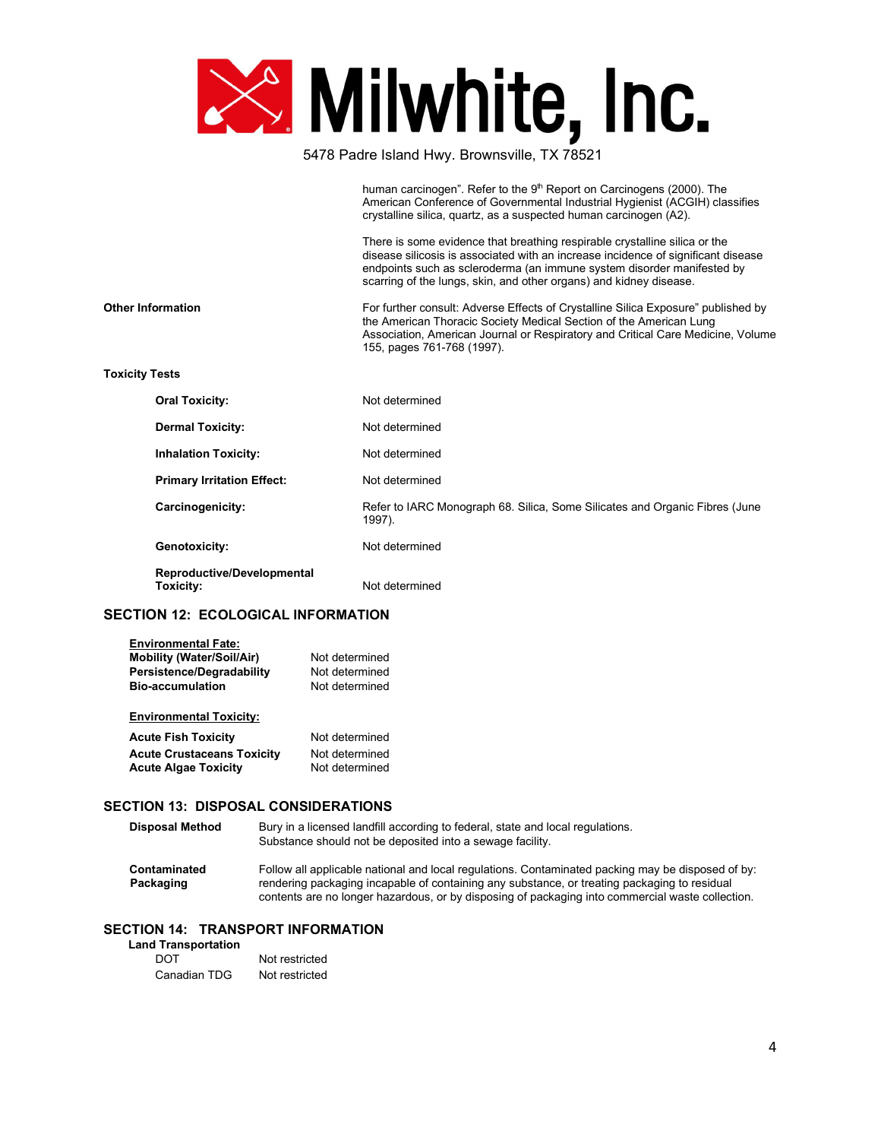

|                          |                                         | human carcinogen". Refer to the 9th Report on Carcinogens (2000). The<br>American Conference of Governmental Industrial Hygienist (ACGIH) classifies<br>crystalline silica, quartz, as a suspected human carcinogen (A2).                                                                                       |
|--------------------------|-----------------------------------------|-----------------------------------------------------------------------------------------------------------------------------------------------------------------------------------------------------------------------------------------------------------------------------------------------------------------|
|                          |                                         | There is some evidence that breathing respirable crystalline silica or the<br>disease silicosis is associated with an increase incidence of significant disease<br>endpoints such as scleroderma (an immune system disorder manifested by<br>scarring of the lungs, skin, and other organs) and kidney disease. |
| <b>Other Information</b> |                                         | For further consult: Adverse Effects of Crystalline Silica Exposure" published by<br>the American Thoracic Society Medical Section of the American Lung<br>Association, American Journal or Respiratory and Critical Care Medicine, Volume<br>155, pages 761-768 (1997).                                        |
| <b>Toxicity Tests</b>    |                                         |                                                                                                                                                                                                                                                                                                                 |
|                          | <b>Oral Toxicity:</b>                   | Not determined                                                                                                                                                                                                                                                                                                  |
|                          | <b>Dermal Toxicity:</b>                 | Not determined                                                                                                                                                                                                                                                                                                  |
|                          | <b>Inhalation Toxicity:</b>             | Not determined                                                                                                                                                                                                                                                                                                  |
|                          | <b>Primary Irritation Effect:</b>       | Not determined                                                                                                                                                                                                                                                                                                  |
|                          | Carcinogenicity:                        | Refer to IARC Monograph 68. Silica, Some Silicates and Organic Fibres (June<br>1997).                                                                                                                                                                                                                           |
|                          | Genotoxicity:                           | Not determined                                                                                                                                                                                                                                                                                                  |
|                          | Reproductive/Developmental<br>Toxicity: | Not determined                                                                                                                                                                                                                                                                                                  |

# SECTION 12: ECOLOGICAL INFORMATION

| <b>Environmental Fate:</b>        |                |
|-----------------------------------|----------------|
| <b>Mobility (Water/Soil/Air)</b>  | Not determined |
| Persistence/Degradability         | Not determined |
| <b>Bio-accumulation</b>           | Not determined |
| <b>Environmental Toxicity:</b>    |                |
| <b>Acute Fish Toxicity</b>        | Not determined |
| <b>Acute Crustaceans Toxicity</b> | Not determined |
|                                   |                |

# SECTION 13: DISPOSAL CONSIDERATIONS

| <b>Disposal Method</b>    | Bury in a licensed landfill according to federal, state and local regulations.<br>Substance should not be deposited into a sewage facility.                                                                                                                                                           |
|---------------------------|-------------------------------------------------------------------------------------------------------------------------------------------------------------------------------------------------------------------------------------------------------------------------------------------------------|
| Contaminated<br>Packaging | Follow all applicable national and local regulations. Contaminated packing may be disposed of by:<br>rendering packaging incapable of containing any substance, or treating packaging to residual<br>contents are no longer hazardous, or by disposing of packaging into commercial waste collection. |

# SECTION 14: TRANSPORT INFORMATION

| <b>Land Transportation</b> |                |
|----------------------------|----------------|
| DOT                        | Not restricted |
| Canadian TDG               | Not restricted |